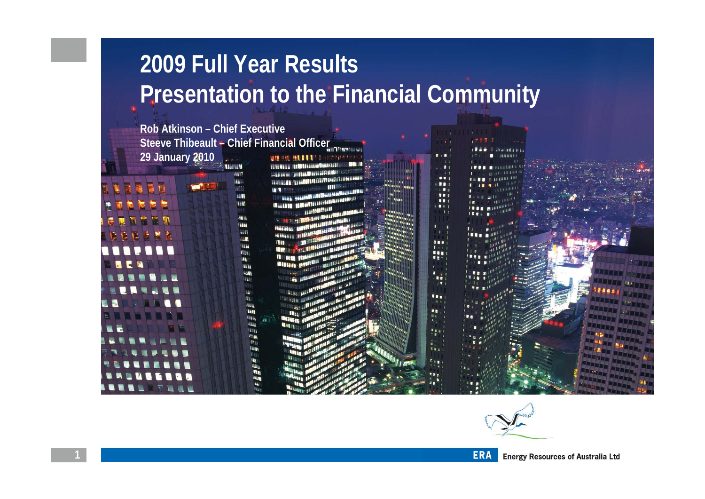# **2009 Full Year Results Presentation to the Financial Community**

**Rob Atkinson – Chief ExecutiveSteeve Thibeault – Chief Financial Officer 29 January 2010NIMER MEDIE** 

**MENSION** 

福田

u. **HAV REM BERT** 155.41 **WEEK** TEST wit **LLT LEW** ILLI **ISS ALM ASH** uu. Nu u **IVA** illis. l La a Hilla **LESS** n.

> **Lisa** 电阻 i Ea

**LEARNER Maan H** 





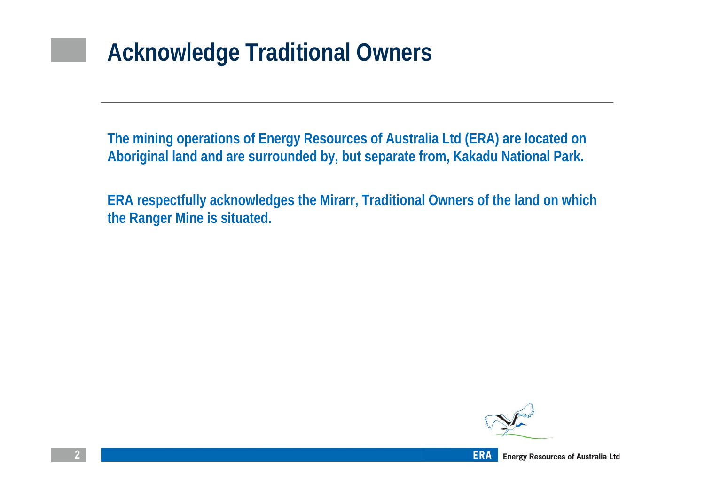# **Acknowledge Traditional Owners**

**The mining operations of Energy Resources of Australia Ltd (ERA) are located on Aboriginal land and are surrounded by, but separate from, Kakadu National Park.**

**ERA respectfully acknowledges the Mirarr, Traditional Owners of the land on which the Ranger Mine is situated.**

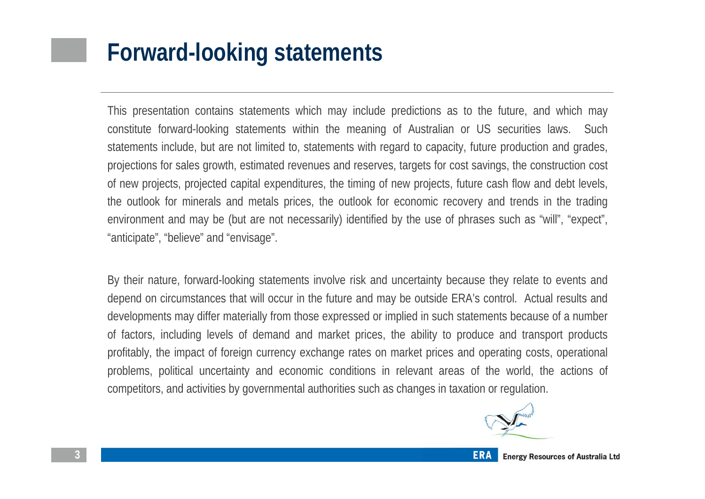## **Forward-looking statements**

This presentation contains statements which may include predictions as to the future, and which may constitute forward-looking statements within the meaning of Australian or US securities laws. Such statements include, but are not limited to, statements with regard to capacity, future production and grades, projections for sales growth, estimated revenues and reserves, targets for cost savings, the construction cost of new projects, projected capital expenditures, the timing of new projects, future cash flow and debt levels, the outlook for minerals and metals prices, the outlook for economic recovery and trends in the trading environment and may be (but are not necessarily) identified by the use of phrases such as "will", "expect", "anticipate", "believe" and "envisage".

By their nature, forward-looking statements involve risk and uncertainty because they relate to events and depend on circumstances that will occur in the future and may be outside ERA's control. Actual results and developments may differ materially from those expressed or implied in such statements because of a number of factors, including levels of demand and market prices, the ability to produce and transport products profitably, the impact of foreign currency exchange rates on market prices and operating costs, operational problems, political uncertainty and economic conditions in relevant areas of the world, the actions of competitors, and activities by governmental authorities such as changes in taxation or regulation.

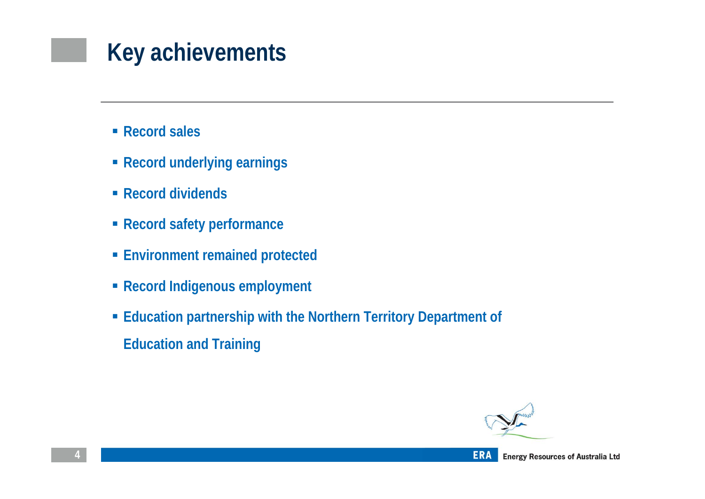# **Key achievements**

- **Record sales**
- **Record underlying earnings**
- **Record dividends**
- **Record safety performance**
- **Environment remained protected**
- **Record Indigenous employment**
- **Education partnership with the Northern Territory Department of Education and Training**



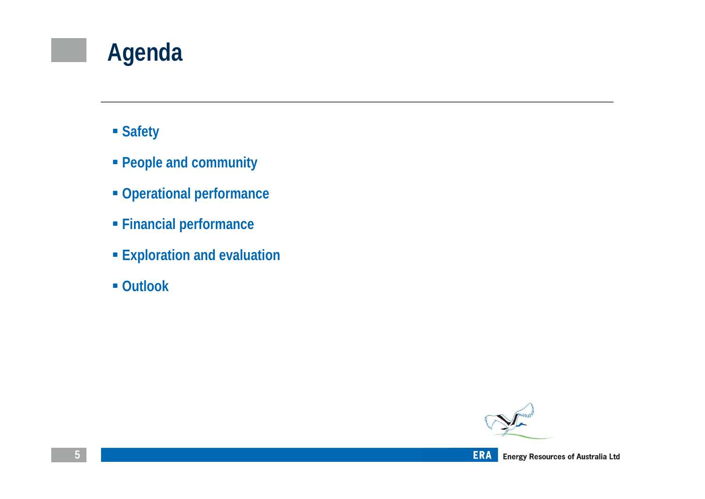# **Agenda**

- **Safety**
- **People and community**
- **Operational performance**
- **Financial performance**
- **Exploration and evaluation**
- **Outlook**



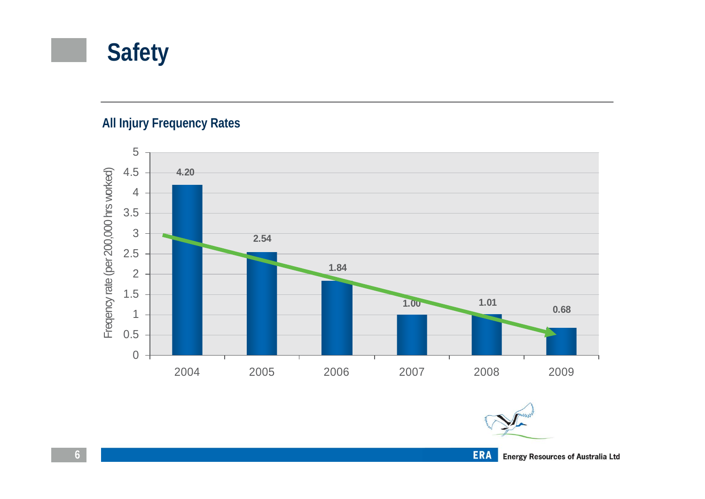## **Safety**

#### **All Injury Frequency Rates**



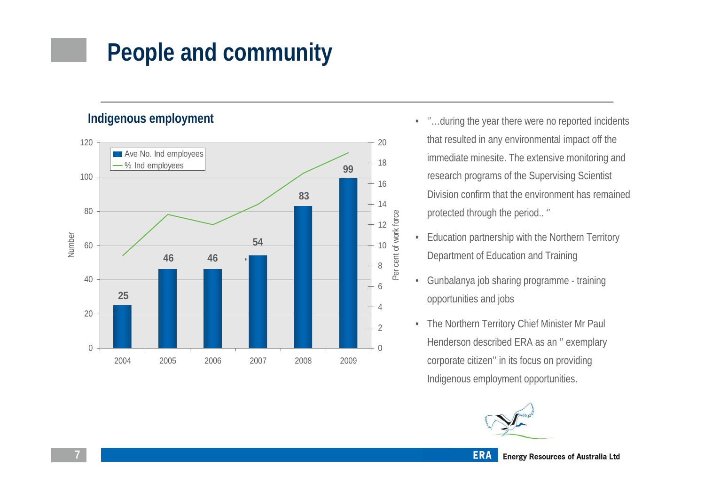# **People and community**

**Indigenous employment**



- ''…during the year there were no reported incidents that resulted in any environmental impact off the immediate minesite. The extensive monitoring and research programs of the Supervising Scientist Division confirm that the environment has remained protected through the period.. ''
- Education partnership with the Northern Territory Department of Education and Training
- Gunbalanya job sharing programme training opportunities and jobs
- The Northern Territory Chief Minister Mr Paul Henderson described ERA as an '' exemplary corporate citizen'' in its focus on providing Indigenous employment opportunities.

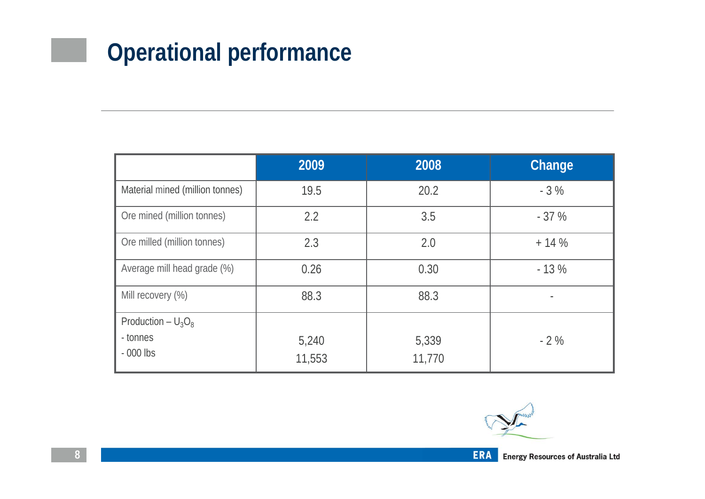# **Operational performance**

|                                 | 2009            | 2008            | Change |
|---------------------------------|-----------------|-----------------|--------|
| Material mined (million tonnes) | 19.5            | 20.2            | $-3%$  |
| Ore mined (million tonnes)      | 2.2             | 3.5             | $-37%$ |
| Ore milled (million tonnes)     | 2.3             | 2.0             | $+14%$ |
| Average mill head grade (%)     | 0.26            | 0.30            | $-13%$ |
| Mill recovery (%)               | 88.3            | 88.3            |        |
| Production – $U_3O_8$           |                 |                 |        |
| - tonnes<br>$-000$ lbs          | 5,240<br>11,553 | 5,339<br>11,770 | $-2\%$ |



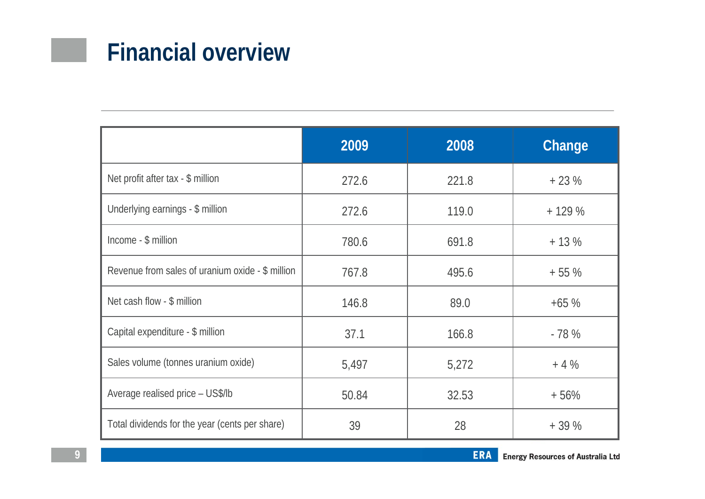## **Financial overview**

|                                                  | 2009  | 2008  | Change  |
|--------------------------------------------------|-------|-------|---------|
| Net profit after tax - \$ million                | 272.6 | 221.8 | $+23%$  |
| Underlying earnings - \$ million                 | 272.6 | 119.0 | $+129%$ |
| Income - \$ million                              | 780.6 | 691.8 | $+13%$  |
| Revenue from sales of uranium oxide - \$ million | 767.8 | 495.6 | $+55%$  |
| Net cash flow - \$ million                       | 146.8 | 89.0  | $+65%$  |
| Capital expenditure - \$ million                 | 37.1  | 166.8 | $-78%$  |
| Sales volume (tonnes uranium oxide)              | 5,497 | 5,272 | $+4%$   |
| Average realised price - US\$/lb                 | 50.84 | 32.53 | $+56%$  |
| Total dividends for the year (cents per share)   | 39    | 28    | $+39%$  |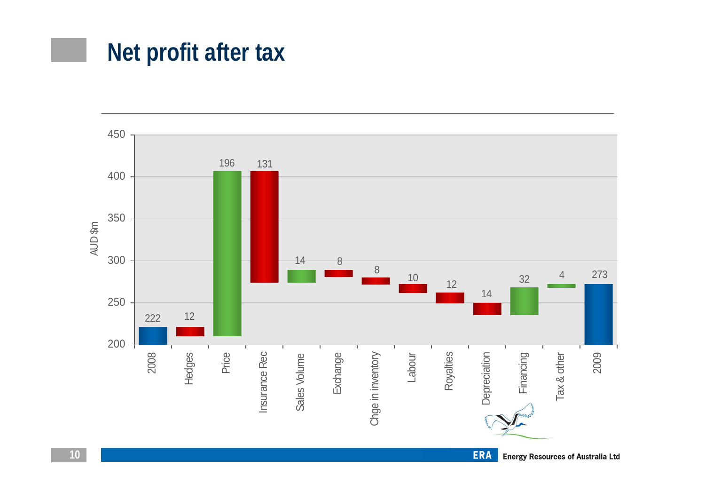## **Net profit after tax**

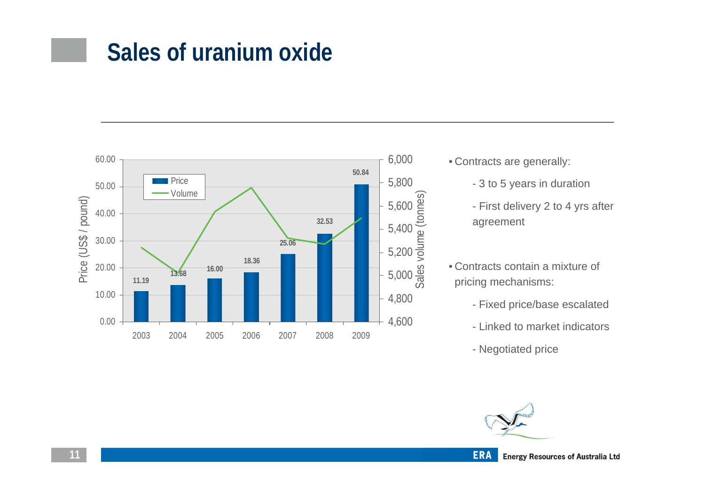### **Sales of uranium oxide**



- Contracts are generally:
	- 3 to 5 years in duration
	- First delivery 2 to 4 yrs after agreement
- Contracts contain a mixture of pricing mechanisms:
	- Fixed price/base escalated
	- Linked to market indicators
	- Negotiated price

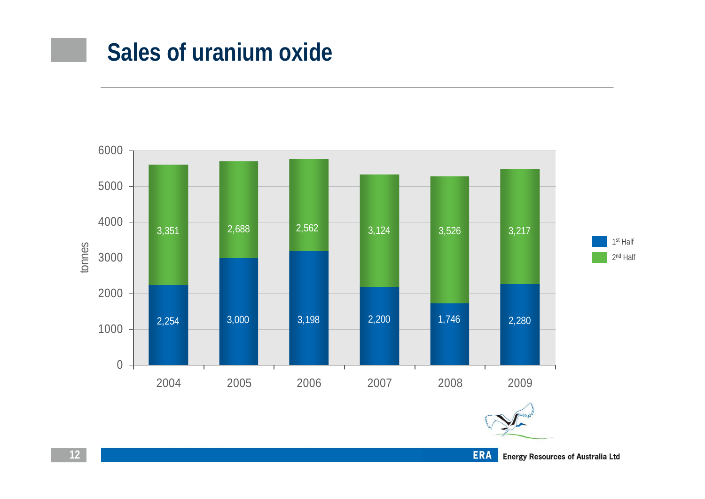### **Sales of uranium oxide**

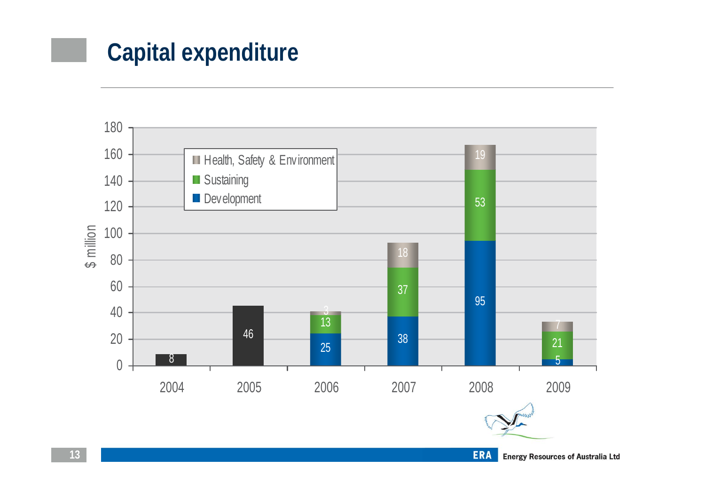# **Capital expenditure**



**Energy Resources of Australia Ltd**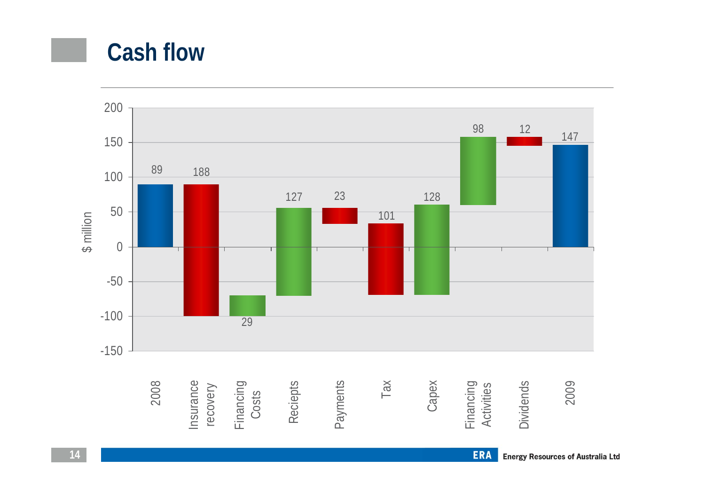### **Cash flow**

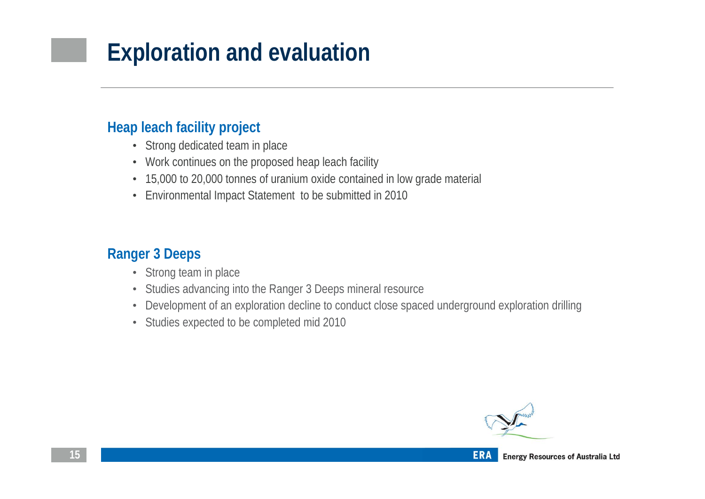# **Exploration and evaluation**

#### **Heap leach facility project**

- Strong dedicated team in place
- Work continues on the proposed heap leach facility
- 15,000 to 20,000 tonnes of uranium oxide contained in low grade material
- Environmental Impact Statement to be submitted in 2010

### **Ranger 3 Deeps**

- Strong team in place
- Studies advancing into the Ranger 3 Deeps mineral resource
- Development of an exploration decline to conduct close spaced underground exploration drilling
- Studies expected to be completed mid 2010